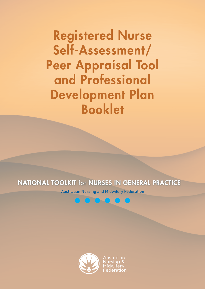## NATIONAL TOOLKIT for NURSES IN GENERAL PRACTICE

Australian Nursing and Midwifery Federation



Australian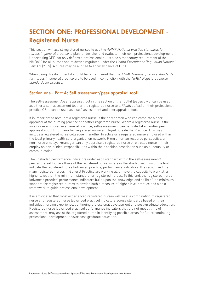## SECTION ONE: PROFESSIONAL DEVELOPMENT - Registered Nurse

This section will assist registered nurses to use the ANMF National practice standards for nurses in general practice to plan, undertake, and evaluate, their own professional development. Undertaking CPD not only defines a professional but is also a mandatory requirement of the NMBA<sup>[12]</sup> for all nurses and midwives regulated under the Health Practitioner Regulation National Law Act (2009). A nurse may be audited to show evidence of CPD.

When using this document it should be remembered that the ANMF National practice standards for nurses in general practice are to be used in conjunction with the NMBA Registered nurse standards for practice.

#### Section one - Part A: Self-assessment/peer appraisal tool

The self-assessment/peer appraisal tool in this section of the Toolkit (pages 5-48) can be used as either a self-assessment tool for the registered nurse to critically reflect on their professional practice OR it can be used as a self-assessment and peer appraisal tool.

It is important to note that a registered nurse is the only person who can complete a peer appraisal of the nursing practice of another registered nurse. Where a registered nurse is the sole nurse employed in a general practice, self-assessment can be undertaken and/or peer appraisal sought from another registered nurse employed outside the Practice. This may include a registered nurse colleague in another Practice or a registered nurse employed within the local primary health care organisation network. From a human resource perspective, a non-nurse employer/manager can only appraise a registered nurse or enrolled nurse in their employ on non-clinical responsibilities within their position description such as punctuality or communication.

The unshaded performance indicators under each standard within the self-assessment/ peer appraisal tool are those of the registered nurse, whereas the shaded sections of the tool indicate the registered nurse (advanced practice) performance indicators. It is recognised that many registered nurses in General Practice are working at, or have the capacity to work at, a higher level than the minimum standard for registered nurses. To this end, the registered nurse (advanced practice) performance indicators build upon the knowledge and skills of the minimum standard for registered nurses to provide both a measure of higher level practice and also a framework to guide professional development.

It is anticipated that most experienced registered nurses will meet a combination of registered nurse and registered nurse (advanced practice) indicators across standards based on their individual nursing experience, continuing professional development and post-graduate education. Registered nurse (advanced practice) performance indicators that are not met at time of assessment, may assist the registered nurse in identifying possible areas for future continuing professional development and/or post-graduate education.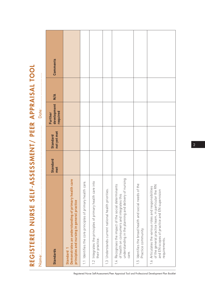REGISTERED NURSE SELF-ASSESSMENT/ PEER APPRAISAL TOOL REGISTERED NURSE SELF-ASSESSMENT/ PEER APPRAISAL TOOL

|                                                                                                                                                                                   |                        | -------------------            | Date:                              | <b>************</b> |          |
|-----------------------------------------------------------------------------------------------------------------------------------------------------------------------------------|------------------------|--------------------------------|------------------------------------|---------------------|----------|
| <b>Standards</b>                                                                                                                                                                  | <b>Standard</b><br>met | not yet met<br><b>Standard</b> | development<br>required<br>Further | $\frac{4}{5}$       | Comments |
| Demonstrates an understanding of primary health care<br>principles and nursing in general practice<br><b>Standard</b>                                                             |                        |                                |                                    |                     |          |
| 1.1 Identifies the core principles of primary health care.                                                                                                                        |                        |                                |                                    |                     |          |
| 1.2 Integrates the principles of primary health care into<br>their practice.                                                                                                      |                        |                                |                                    |                     |          |
| 1.3 Understands current national health priorities.                                                                                                                               |                        |                                |                                    |                     |          |
| understanding in the planning and delivery of nursing<br>Recognises the impact of the social determinants<br>of health on consumers and integrates this<br>care.<br>$\frac{1}{2}$ |                        |                                |                                    |                     |          |
| 1.5 Identifies the broad health and social needs of the<br>Practice community.                                                                                                    |                        |                                |                                    |                     |          |
| of the general practice team, in particular the RN<br>1.6 Articulates the various roles and responsibilities<br>and EN scopes of practice and EN supervision<br>requirements.     |                        |                                |                                    |                     |          |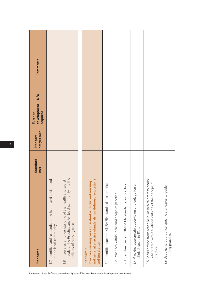| <b>Standards</b>                                                                                                                                  | Standard<br>met | not yet met<br><b>Standard</b> | development<br>required<br>Further | M/A | Comments |
|---------------------------------------------------------------------------------------------------------------------------------------------------|-----------------|--------------------------------|------------------------------------|-----|----------|
| 1.7 Identifies and responds to the health and social needs<br>of the local community.                                                             |                 |                                |                                    |     |          |
| the<br>1.8 Integrates an understanding of the health and social<br>needs of the Practice and/or local community into<br>delivery of nursing care. |                 |                                |                                    |     |          |
|                                                                                                                                                   |                 |                                |                                    |     |          |
| and general practice standards, guidelines, regulations<br>Provides nursing care consistent with current nursing<br>and legislation<br>Standard 2 |                 |                                |                                    |     |          |
| 2.1 Identifies current NMBA RN standards for practice                                                                                             |                 |                                |                                    |     |          |
| Practises within individual scope of practice.<br>2.2                                                                                             |                 |                                |                                    |     |          |
| 2.3 Identifies current NMBA EN standards for practice.                                                                                            |                 |                                |                                    |     |          |
| 2.4 Provides appropriate supervision and delegation of<br>clinical tasks to ENs.                                                                  |                 |                                |                                    |     |          |
| 2.5 Seeks advice from other RNs, or health professionals,<br>when faced with situations outside of their scope of<br>practice.                    |                 |                                |                                    |     |          |
| 2.6 Uses general practice specific standards to guide<br>nursing practice.                                                                        |                 |                                |                                    |     |          |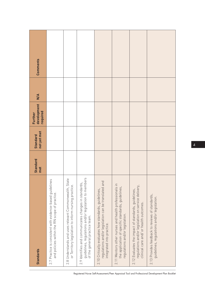| Comments                           |                                                                                                            |                                                                                                               |                                                                                                                                                 |                                                                                                                                           |                                                                                                                                                |                                                                                                                                                      |                                                                                                |
|------------------------------------|------------------------------------------------------------------------------------------------------------|---------------------------------------------------------------------------------------------------------------|-------------------------------------------------------------------------------------------------------------------------------------------------|-------------------------------------------------------------------------------------------------------------------------------------------|------------------------------------------------------------------------------------------------------------------------------------------------|------------------------------------------------------------------------------------------------------------------------------------------------------|------------------------------------------------------------------------------------------------|
| $\frac{4}{5}$                      |                                                                                                            |                                                                                                               |                                                                                                                                                 |                                                                                                                                           |                                                                                                                                                |                                                                                                                                                      |                                                                                                |
| development<br>required<br>Further |                                                                                                            |                                                                                                               |                                                                                                                                                 |                                                                                                                                           |                                                                                                                                                |                                                                                                                                                      |                                                                                                |
| not yet met<br><b>Standard</b>     |                                                                                                            |                                                                                                               |                                                                                                                                                 |                                                                                                                                           |                                                                                                                                                |                                                                                                                                                      |                                                                                                |
| <b>Standard</b><br>met             |                                                                                                            |                                                                                                               |                                                                                                                                                 |                                                                                                                                           |                                                                                                                                                |                                                                                                                                                      |                                                                                                |
| <b>Standards</b>                   | 2.7 Practice is consistent with evidence-based guidelines<br>and policies within the RN scope of practice. | 2.8 Understands and uses relevant Commonwealth, State<br>or Territory legislation to inform nursing practice. | guidelines, regulations and/or legislation to members<br>2.9 Identifies and communicates changes in standards,<br>of the general practice team. | regulations and/or legislation can be translated and<br>2.10 Critically evaluates how standards, guidelines,<br>integrated into practice. | 2.11 Mentors other nurses and health professionals in<br>the application of specific standards, guidelines,<br>regulations and/or legislation. | regulations and/or legislation on service delivery,<br>2.12 Evaluates the impact of standards, guidelines,<br>clinical care and/ or health outcomes. | 2.13 Provides feedback to reviews of standards,<br>guidelines, regulations and/or legislation. |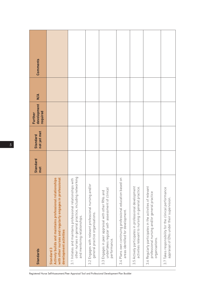| Standards                                                                                                                                                   | <b>Standard</b><br>met | not yet met<br><b>Standard</b> | development<br>required<br>Further | $\frac{4}{5}$ | Comments |
|-------------------------------------------------------------------------------------------------------------------------------------------------------------|------------------------|--------------------------------|------------------------------------|---------------|----------|
| Actively builds and maintains professional relationships<br>with other nurses and regularly engages in professional<br>development activities<br>Standard 3 |                        |                                |                                    |               |          |
| 3.1 Initiates and maintains professional relationships with<br>other nurses in general practice, including networking<br>and mentoring relationships.       |                        |                                |                                    |               |          |
| 3.2 Engages with relevant professional nursing and/or<br>general practice organisations.                                                                    |                        |                                |                                    |               |          |
| undertakes regular self-assessment of clinical<br>3.3 Engages in peer appraisal with other RNs and<br>performance.                                          |                        |                                |                                    |               |          |
| 3.4 Plans own continuing professional education based on<br>areas identified for development.                                                               |                        |                                |                                    |               |          |
| 3.5 Actively participates in professional development<br>activities relevant to nursing in general practice.                                                |                        |                                |                                    |               |          |
| 3.6 Regularly participates in the activities of relevant<br>professional nursing and/or general practice<br>organisations.                                  |                        |                                |                                    |               |          |
| 3.7 Takes responsibility for the clinical performance<br>appraisal of ENs under their supervision.                                                          |                        |                                |                                    |               |          |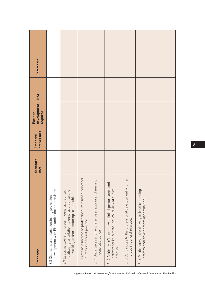| <b>Comments</b>                    |                                                                                                  |                                                                                                                                                     |                                                                                           |                                                                                   |                                                                                                                              |                                                                                          |                                                                                                  |
|------------------------------------|--------------------------------------------------------------------------------------------------|-----------------------------------------------------------------------------------------------------------------------------------------------------|-------------------------------------------------------------------------------------------|-----------------------------------------------------------------------------------|------------------------------------------------------------------------------------------------------------------------------|------------------------------------------------------------------------------------------|--------------------------------------------------------------------------------------------------|
| $\frac{4}{5}$                      |                                                                                                  |                                                                                                                                                     |                                                                                           |                                                                                   |                                                                                                                              |                                                                                          |                                                                                                  |
| development<br>required<br>Further |                                                                                                  |                                                                                                                                                     |                                                                                           |                                                                                   |                                                                                                                              |                                                                                          |                                                                                                  |
| not yet met<br><b>Standard</b>     |                                                                                                  |                                                                                                                                                     |                                                                                           |                                                                                   |                                                                                                                              |                                                                                          |                                                                                                  |
| <b>Standard</b><br>met             |                                                                                                  |                                                                                                                                                     |                                                                                           |                                                                                   |                                                                                                                              |                                                                                          |                                                                                                  |
| <b>Standards</b>                   | development with ENs under their supervision.<br>3.8 Discusses and plans continuing professional | facilitating orientation to general practice and<br>3.9 Leads networks of nurses in general practice,<br>networking and/or mentoring relationships. | 3.10 Acts as a mentor or professional role model for other<br>nurses in general practice. | 3.11 Undertakes and facilitates peer appraisal of nursing<br>in general practice. | 3.12 Critically reflects on own clinical performance and<br>actively seeks external critical review of clinical<br>practice. | 3.13 Contributes to the professional development of other<br>nurses in general practice. | 3.14 Participates in the delivery of local continuing<br>professional development opportunities. |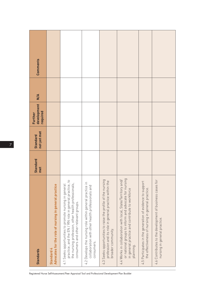| <b>Standards</b>                                                                                                                                                                                               | <b>Standard</b><br>met | not yet met<br><b>Standard</b> | development<br>required<br>Further | $\frac{4}{5}$ | Comments |
|----------------------------------------------------------------------------------------------------------------------------------------------------------------------------------------------------------------|------------------------|--------------------------------|------------------------------------|---------------|----------|
| Advocates for the role of nursing in general practice<br>Standard 4                                                                                                                                            |                        |                                |                                    |               |          |
| practice, and the EN / RN role in general practice, to<br>the nursing profession, other health professionals,<br>4.1 Seeks opportunities to promote nursing in general<br>consumers and other relevant groups. |                        |                                |                                    |               |          |
| $\subset$<br>collaboration with other health professionals and<br>4.2 Develops the nursing role within general practice<br>consumers.                                                                          |                        |                                |                                    |               |          |
| 4.3 Seeks opportunities to raise the profile of the nursing<br>profession and its role in general practice within the<br>broader community.                                                                    |                        |                                |                                    |               |          |
| or national groups to inform and advocate for nursing<br>4.4 Works in collaboration with local, State/Territory and/<br>in general practice and contribute to workforce<br>planning.                           |                        |                                |                                    |               |          |
| 4.5 Participates in the generation of evidence to support<br>the effectiveness of nursing in general practice.                                                                                                 |                        |                                |                                    |               |          |
| for<br>4.6 Contributes to the development of business cases<br>nursing in general practice.                                                                                                                    |                        |                                |                                    |               |          |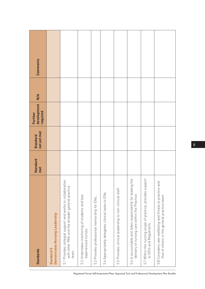| Comments<br>$\frac{4}{\pi}$<br>development<br>required<br>Further<br>not yet met<br><b>Standard</b><br><b>Standard</b><br>met |                                              |                                                                                                                       |                                                                      |                                               |                                                    |                                                         | the                                                                                                      |                                                                                        |                                                                                                         |
|-------------------------------------------------------------------------------------------------------------------------------|----------------------------------------------|-----------------------------------------------------------------------------------------------------------------------|----------------------------------------------------------------------|-----------------------------------------------|----------------------------------------------------|---------------------------------------------------------|----------------------------------------------------------------------------------------------------------|----------------------------------------------------------------------------------------|---------------------------------------------------------------------------------------------------------|
| <b>Standards</b>                                                                                                              | Demontrates Nursing Leadership<br>Standard 5 | 5.1 Provides collegial support and works in collaboration<br>with other RNs and the broader general practice<br>team. | 5.2 Undertakes mentoring of students and less<br>experienced nurses. | 5.3 Provides professional mentorship for ENs. | 5.4 Appropriately delegates clinical tasks to ENs. | 5.5 Provides clinical leadership to non-clinical staff. | 5.6 Is accountable and takes responsibility for leading<br>delivery of nursing care within the Practice. | 5.7 Within the nursing scope of practice, provides support<br>to GP/s and Registrar/s. | 5.8 Considers own wellbeing and fitness to practice and<br>that of others in the general practice team. |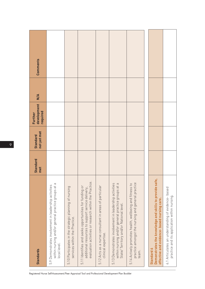| <b>Standards</b>                                                                                                                                                      | <b>Standard</b><br>met | not yet met<br><b>Standard</b> | development<br>required<br>Further | $\frac{4}{5}$ | Comments |
|-----------------------------------------------------------------------------------------------------------------------------------------------------------------------|------------------------|--------------------------------|------------------------------------|---------------|----------|
| within nursing and/or general practice groups at a<br>5.9 Demonstrates involvement in leadership activities<br>local level.                                           |                        |                                |                                    |               |          |
| 5.10 Participates in the strategic planning of nursing<br>services within the Practice.                                                                               |                        |                                |                                    |               |          |
| evaluation activities or research within the Practice.<br>5.11 Identifies and seeks opportunities for funding or<br>additional resources to support service delivery, |                        |                                |                                    |               |          |
| 5.12 Acts as a nurse consultant in areas of particular<br>clinical expertise.                                                                                         |                        |                                |                                    |               |          |
| 5.13 Demonstrates involvement in leadership activities<br>within nursing and/or general practice groups at a<br>State/Territory and/or National level.                |                        |                                |                                    |               |          |
| 5.14 Actively promotes health, wellbeing and fitness to<br>practice amongst the nursing and general practice<br>team.                                                 |                        |                                |                                    |               |          |
|                                                                                                                                                                       |                        |                                |                                    |               |          |
| Demonstrates the knowledge and skills to provide safe,<br>effective and evidence- based nursing care.<br>Standard 6                                                   |                        |                                |                                    |               |          |
| 6.1 Articulates an understanding of evidence- based<br>practice and its application within nursing.                                                                   |                        |                                |                                    |               |          |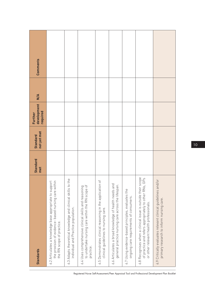| <b>Standards</b>                                                                                                                                                    | <b>Standard</b><br>met | not yet met<br><b>Standard</b> | development<br>required<br>Further | $\frac{4}{5}$ | Comments |
|---------------------------------------------------------------------------------------------------------------------------------------------------------------------|------------------------|--------------------------------|------------------------------------|---------------|----------|
| 6.2 Articulates a knowledge base appropriate to support<br>the provision of evidence- based nursing care within<br>the RN scope of practice.                        |                        |                                |                                    |               |          |
| the<br>6.3 Adapts theoretical knowledge and clinical skills to<br>individual and Practice population.                                                               |                        |                                |                                    |               |          |
| to undertake nursing care within the RN scope of<br>6.4 Uses comprehensive clinical skills and reasoning<br>practice.                                               |                        |                                |                                    |               |          |
| ð<br>6.5 Demonstrates clinical reasoning in the application<br>clinical guidelines to nursing care.                                                                 |                        |                                |                                    |               |          |
| 6.6 Articulates a broad knowledge of health needs and<br>general practice nursing care across the lifespan.                                                         |                        |                                |                                    |               |          |
| 6.7 Using evidence-based principles, evaluates the<br>ongoing care requirements of consumers.                                                                       |                        |                                |                                    |               |          |
| 6.8 Recognises when a clinical issue is outside their scope<br>GPs<br>of practice and refers appropriately to other RNs,<br>or other relevant health professionals. |                        |                                |                                    |               |          |
| 6.9 Critically evaluates relevant clinical guidelines and/or<br>primary research to inform nursing care.                                                            |                        |                                |                                    |               |          |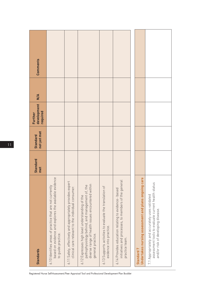| <b>Standards</b>                                                                                                                                                           | <b>Standard</b><br>met | not yet met<br><b>Standard</b> | development<br>required<br>Further | $\frac{4}{\pi}$ | Comments |
|----------------------------------------------------------------------------------------------------------------------------------------------------------------------------|------------------------|--------------------------------|------------------------------------|-----------------|----------|
| based on evidence and explores the available evidence<br>6.10 Identifies areas of practice that are not currently<br>to guide practice.                                    |                        |                                |                                    |                 |          |
| 6.11 Safely, effectively and appropriately provides expert<br>clinical care relevant to the individual consumer.                                                           |                        |                                |                                    |                 |          |
| diverse range of health issues encountered within<br>pathophysiology behind, and management of, the<br>6.12 Expresses high level understanding of the<br>general practice. |                        |                                |                                    |                 |          |
| 6.13 Supports activities to evaluate the translation of<br>evidence into practice.                                                                                         |                        |                                |                                    |                 |          |
| initiatives and processes, to members of the general<br>6.14 Provides education relating to evidence- based<br>practice team.                                              |                        |                                |                                    |                 |          |
|                                                                                                                                                                            |                        |                                |                                    |                 |          |
| Undertakes nursing assessment and plans ongoing care<br>Standard <sub>7</sub>                                                                                              |                        |                                |                                    |                 |          |
| assessment tools to evaluate current health status<br>7.1 Appropriately and accurately uses validated<br>and/or risk of developing disease.                                |                        |                                |                                    |                 |          |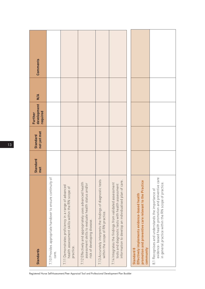| <b>Standards</b>                                                                                                                                                          | <b>Standard</b><br>met | not yet met<br><b>Standard</b> | development<br>required<br>Further | $\frac{4}{5}$ | Comments |
|---------------------------------------------------------------------------------------------------------------------------------------------------------------------------|------------------------|--------------------------------|------------------------------------|---------------|----------|
| 7.10 Provides appropriate handover to ensure continuity of<br>care.                                                                                                       |                        |                                |                                    |               |          |
| 7.11 Demonstrates proficiency in a range of advanced<br>health assessment skills within the RN scope of<br>practice.                                                      |                        |                                |                                    |               |          |
| 7.12 Effectively and appropriately uses advanced health<br>assessment skills to evaluate health status and/or<br>risk of developing disease.                              |                        |                                |                                    |               |          |
| 7.13 Accurately interprets the findings of diagnostic tests<br>within the scope of RN practice.                                                                           |                        |                                |                                    |               |          |
| ŗΘ<br>7.14 Integrates the findings from validated assessment<br>tools and diagnostic tests with health assessment<br>information to develop an individualised plan of car |                        |                                |                                    |               |          |
|                                                                                                                                                                           |                        |                                |                                    |               |          |
| promotion and preventive care relevant to the Practice<br>Effectively implements evidence-based health<br>community<br>Standard 8                                         |                        |                                |                                    |               |          |
| evidence- based health promotion and preventive care<br>in general practice within the RN scope of practice<br>8.1 Recognises and understands the importance of           |                        |                                |                                    |               |          |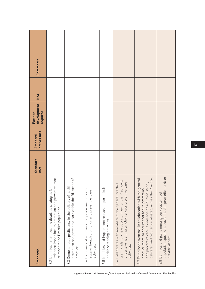| Comments                                                   |                                                                                                                                                           |                                                                                                                             |                                                                                                                    |                                                                                      |                                                                                                                                                                                     |                                                                                                                                                                                                                                                                                                                                    |                                                                                                                                 |
|------------------------------------------------------------|-----------------------------------------------------------------------------------------------------------------------------------------------------------|-----------------------------------------------------------------------------------------------------------------------------|--------------------------------------------------------------------------------------------------------------------|--------------------------------------------------------------------------------------|-------------------------------------------------------------------------------------------------------------------------------------------------------------------------------------|------------------------------------------------------------------------------------------------------------------------------------------------------------------------------------------------------------------------------------------------------------------------------------------------------------------------------------|---------------------------------------------------------------------------------------------------------------------------------|
| $\frac{4}{5}$<br>development<br>required<br><b>Further</b> |                                                                                                                                                           |                                                                                                                             |                                                                                                                    |                                                                                      |                                                                                                                                                                                     |                                                                                                                                                                                                                                                                                                                                    |                                                                                                                                 |
| not yet met<br>Standard                                    |                                                                                                                                                           |                                                                                                                             |                                                                                                                    |                                                                                      |                                                                                                                                                                                     |                                                                                                                                                                                                                                                                                                                                    |                                                                                                                                 |
| <b>Standard</b><br>met                                     |                                                                                                                                                           |                                                                                                                             |                                                                                                                    |                                                                                      |                                                                                                                                                                                     |                                                                                                                                                                                                                                                                                                                                    |                                                                                                                                 |
| <b>Standards</b>                                           | care<br>evidence-based health promotion and preventive<br>8.2 Identifies, prioritises and develops strategies for<br>relevant to the Practice population. | promotion and preventive care within the RN scope of<br>8.3 Demonstrates proficiency in the delivery of health<br>practice. | 8.4 Identifies and sources appropriate resources to<br>support health promotion and preventive care<br>activities. | 8.5 Identifies and implements relevant opportunistic<br>health screening activities. | team to identify new opportunities for the Practice to<br>undertake health promotion and/or preventive care<br>8.6 Collaborates with members of the general practice<br>activities. | practice team, to <del>ensure entity</del><br>and preventive care is evidence-based, consistently<br>and preventive care is evidence-based, consistently<br>leral<br>8.7 Establishes systems, in collaboration with the gen<br>delivered and regularly evaluated, across the Pra<br>practice team, to ensure that health promotion | population specific needs for health promotion and/ or<br>8.8 Identifies and plans nursing services to meet<br>preventive care. |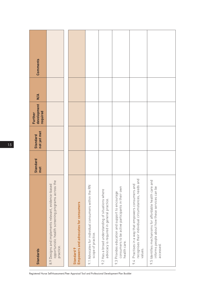| <b>Standards</b>                                                                                                                                 | Standard<br>met | not yet met<br><b>Standard</b> | development<br>required<br>Further | $\frac{4}{\pi}$ | Comments |
|--------------------------------------------------------------------------------------------------------------------------------------------------|-----------------|--------------------------------|------------------------------------|-----------------|----------|
| $\overline{\mathbb{Q}}$<br>opportunistic health screening programs across th<br>8.9 Designs and implements relevant, evidence-based<br>practice. |                 |                                |                                    |                 |          |
| Empowers and advocates for consumers<br><b>Standard 9</b>                                                                                        |                 |                                |                                    |                 |          |
| 9.1 Advocates for individual consumers within the RN<br>scope of practice.                                                                       |                 |                                |                                    |                 |          |
| 9.2 Has a broad understanding of situations where<br>advocacy is required in general practice.                                                   |                 |                                |                                    |                 |          |
| consumers to be active participants in their own<br>9.3 Provides education and support to encourage<br>health care.                              |                 |                                |                                    |                 |          |
| recognises their individual circumstances, needs and<br>9.4 Practises in a way that empowers consumers and<br>values.                            |                 |                                |                                    |                 |          |
| 9.5 Identifies mechanisms for affordable health care and<br>informs people about how these services can be<br>accessed.                          |                 |                                |                                    |                 |          |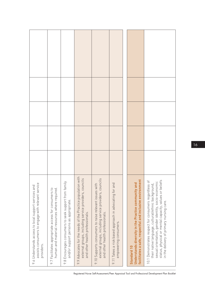| assists consumers to engage with relevant service<br>9.6 Understands access to local support services and<br>providers.                                                                                                                                                 |  |  |  |
|-------------------------------------------------------------------------------------------------------------------------------------------------------------------------------------------------------------------------------------------------------------------------|--|--|--|
| human and material resources where required.<br>9.7 Facilitates appropriate access for consumers to                                                                                                                                                                     |  |  |  |
| 9.8 Encourages consumers to seek support from family<br>and/or support persons as appropriate.                                                                                                                                                                          |  |  |  |
| 9.9 Advocates for the needs of the Practice population with<br>external groups, including service providers, councils<br>and other health professionals.                                                                                                                |  |  |  |
| external groups, including service providers, councils<br>9.10 Supports consumers to raise relevant issues with<br>and other health professionals.                                                                                                                      |  |  |  |
| 9.11 Takes a risk based approach in advocating for and<br>empowering consumers.                                                                                                                                                                                         |  |  |  |
|                                                                                                                                                                                                                                                                         |  |  |  |
| facilitates a safe, respectful and inclusive environment<br>Understands diversity in the Practice community and<br>Standard 10                                                                                                                                          |  |  |  |
| status, physical or mental capacity, values or beliefs<br>10.1 Demonstrates respect for consumers regardless o<br>sexual orientation, gender identity, socio-economic<br>their native language, cultural/ethnic background,<br>in the delivery of primary nursing care. |  |  |  |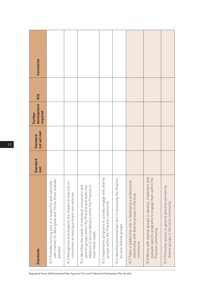| <b>Standards</b>                                                                                                                                                                       | <b>Standard</b><br>met | not yet met<br>Standard | development<br>required<br>Further | $\frac{4}{5}$ | Comments |
|----------------------------------------------------------------------------------------------------------------------------------------------------------------------------------------|------------------------|-------------------------|------------------------------------|---------------|----------|
| safe manner for Aboriginal and Torres Strait Islander<br>10.2 Provides nursing care in a respectful and culturally<br>peoples.                                                         |                        |                         |                                    |               |          |
| 10.3 Recognises and respects the impact of diversity on<br>consumers accessing primary care services                                                                                   |                        |                         |                                    |               |          |
| adaption of service delivery within the Practice to<br>10.4 Identifies the needs of individual consumers and<br>specific groups within the Practice and leads the<br>meet these needs. |                        |                         |                                    |               |          |
| 10.5 Implements programs to actively engage with diverse<br>groups within the Practice community.                                                                                      |                        |                         |                                    |               |          |
| 10.6 Identifies potential barriers to accessing the Practice<br>by local diverse groups.                                                                                               |                        |                         |                                    |               |          |
| 10.7 Takes a leadership role in developing a professional<br>relationship with diverse groups in the local<br>community                                                                |                        |                         |                                    |               |          |
| and<br>the<br>10.8 Works with diverse groups to develop, implement<br>evaluate specific programs to engage them within<br>Practice community.                                          |                        |                         |                                    |               |          |
| 10.9 Promotes access to general practice services by<br>diverse groups in the local community.                                                                                         |                        |                         |                                    |               |          |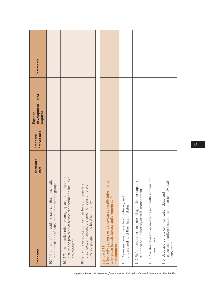| <b>Standards</b>                                                                                                                                        | <b>Standard</b><br>met | not yet met<br><b>Standard</b> | development<br>required<br>Further | $\frac{4}{5}$ | Comments |
|---------------------------------------------------------------------------------------------------------------------------------------------------------|------------------------|--------------------------------|------------------------------------|---------------|----------|
| 10.10 Creates and/or provides resources that specifically<br>meet the needs of consumers from diverse groups.                                           |                        |                                |                                    |               |          |
| disrupt the provision of a safe, respectful and inclusive<br>10.11 Takes an active role in managing factors that seek to<br>environment.                |                        |                                |                                    |               |          |
| 10.12 Facilitates education for members of the general<br>practice team around the specific needs of relevant<br>diverse groups in the local community. |                        |                                |                                    |               |          |
|                                                                                                                                                         |                        |                                |                                    |               |          |
| Effectively delivers evidence-based health information<br>to improve health literacy and promote self-<br>management<br>Standard 11                     |                        |                                |                                    |               |          |
| 11.1 Assesses consumers' health literacy and<br>understanding of their health status.                                                                   |                        |                                |                                    |               |          |
| 11.2 Refers consumers to external agencies for support<br>related to health literacy or self- management.                                               |                        |                                |                                    |               |          |
| 11.3 Provides relevant, evidence-based health information<br>to consumers.                                                                              |                        |                                |                                    |               |          |
| resources to deliver health information to individual<br>11.4 Uses appropriate communication skills and<br>consumers.                                   |                        |                                |                                    |               |          |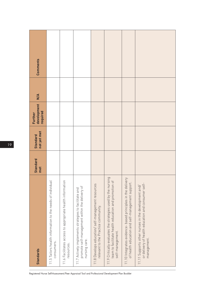| <b>Standards</b>                                                                                                                                                 | <b>Standard</b><br>met | not yet met<br><b>Standard</b> | development<br>required<br>Further | M/A | <b>Comments</b> |
|------------------------------------------------------------------------------------------------------------------------------------------------------------------|------------------------|--------------------------------|------------------------------------|-----|-----------------|
| 11.5 Tailors health information to the needs of individual<br>consumers.                                                                                         |                        |                                |                                    |     |                 |
| 11.6 Facilitates access to appropriate health information<br>resources.                                                                                          |                        |                                |                                    |     |                 |
| promote self-management within the delivery of<br>11.7 Actively implements strategies to facilitate and<br>nursing care.                                         |                        |                                |                                    |     |                 |
| 11.8 Develops education/self-management resources<br>relevant to the Practice community.                                                                         |                        |                                |                                    |     |                 |
| 11.9 Critically evaluates the strategies used by the nursing<br>$\overline{\mathrm{o}}$<br>team to facilitate health education and promotion<br>self-management. |                        |                                |                                    |     |                 |
| 11.10 Integrates evidence- based principles in the delivery<br>of health education and self-management support.                                                  |                        |                                |                                    |     |                 |
| or delivery of health education and consumer self-<br>11.11 Supports other nurses in the development and/<br>management.                                         |                        |                                |                                    |     |                 |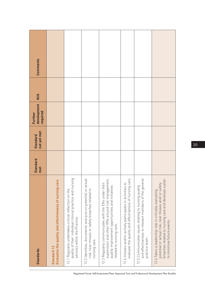| Comments<br>$\frac{4}{\pi}$<br>development |                                                                        |                                                                                                                                                         |                                                                                                                                |                                                                                                                                                                                            |                                                                                                                                           |                                                                                                                                           |                                                                                                                                                                          |
|--------------------------------------------|------------------------------------------------------------------------|---------------------------------------------------------------------------------------------------------------------------------------------------------|--------------------------------------------------------------------------------------------------------------------------------|--------------------------------------------------------------------------------------------------------------------------------------------------------------------------------------------|-------------------------------------------------------------------------------------------------------------------------------------------|-------------------------------------------------------------------------------------------------------------------------------------------|--------------------------------------------------------------------------------------------------------------------------------------------------------------------------|
| required<br>Further                        |                                                                        |                                                                                                                                                         |                                                                                                                                |                                                                                                                                                                                            |                                                                                                                                           |                                                                                                                                           |                                                                                                                                                                          |
| not yet met<br><b>Standard</b>             |                                                                        |                                                                                                                                                         |                                                                                                                                |                                                                                                                                                                                            |                                                                                                                                           |                                                                                                                                           |                                                                                                                                                                          |
| <b>Standard</b><br>met                     |                                                                        |                                                                                                                                                         |                                                                                                                                |                                                                                                                                                                                            |                                                                                                                                           |                                                                                                                                           |                                                                                                                                                                          |
| <b>Standards</b>                           | Evaluates the quality and effectiveness of nursing care<br>Standard 12 | puis.<br>quality of their individual clinical practice and nur<br>12.1 Regularly undertakes critical reflection on the<br>services within the Practice. | 12.2 Identifies, documents and acts on potential or actual<br>risk, near misses or safety breaches related to<br>nursing care. | supervision and other RNs around risk management,<br>12.3 Regularly communicates with the ENs under their<br>quality improvement opportunities and initiatives<br>related to nursing care. | care.<br>$\overline{c}$<br>12.4 Initiates and/or actively participates in activities<br>evaluate the quality and effectiveness of nursing | <b>eral</b><br>12.5 Communicates issues relating to nursing quality<br>and effectiveness to relevant members of the gen<br>practice team. | plan<br>potential or actual risk, near misses and/ or safety<br>breaches related to nursing care and develops a<br>12.6 Takes a leadership role in critically evaluating |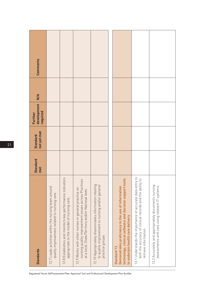| <b>Standards</b>                                                                                                                                                         | <b>Standard</b><br>met | not yet met<br><b>Standard</b> | development<br>required<br>Further | $\frac{4}{5}$ | Comments |
|--------------------------------------------------------------------------------------------------------------------------------------------------------------------------|------------------------|--------------------------------|------------------------------------|---------------|----------|
| 12.7 Leads activities within the nursing team around<br>quality improvement related to nursing care                                                                      |                        |                                |                                    |               |          |
| 12.8 Establishes and monitors key performance indicators<br>appropriate to the model of nursing care.                                                                    |                        |                                |                                    |               |          |
| nursing quality improvement issues across Practices<br>12.9 Works with other nurses in general practice on<br>at a local, State/Territory and/or National level.         |                        |                                |                                    |               |          |
| 12.10 Appropriately disseminates information relating<br>to quality improvement to nursing and/or general<br>practice groups.                                            |                        |                                |                                    |               |          |
|                                                                                                                                                                          |                        |                                |                                    |               |          |
| technology, clinical software and decision support tools<br>Demonstrates proficiency in the use of information<br>to underpin health care delivery<br><b>Standard 13</b> |                        |                                |                                    |               |          |
| 13.1 Understands the importance of accurate data entry to<br>both the accuracy of clinical records and the ability to<br>retrieve information.                           |                        |                                |                                    |               |          |
| 13.2 Accurately and appropriately documents nursing<br>assessments and care using relevant IT systems.                                                                   |                        |                                |                                    |               |          |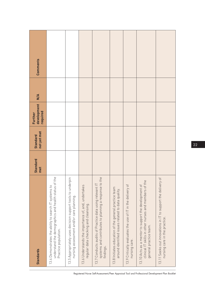| Comments<br>$\frac{4}{5}$          |                                                                                                                                       |                                                                                                        |                                                                                             |                                                                                                                              |                                                                                                            |                                                                             |                                                                                                                                         |                                                                                               |
|------------------------------------|---------------------------------------------------------------------------------------------------------------------------------------|--------------------------------------------------------------------------------------------------------|---------------------------------------------------------------------------------------------|------------------------------------------------------------------------------------------------------------------------------|------------------------------------------------------------------------------------------------------------|-----------------------------------------------------------------------------|-----------------------------------------------------------------------------------------------------------------------------------------|-----------------------------------------------------------------------------------------------|
| development<br>required<br>Further |                                                                                                                                       |                                                                                                        |                                                                                             |                                                                                                                              |                                                                                                            |                                                                             |                                                                                                                                         |                                                                                               |
| not yet met<br><b>Standard</b>     |                                                                                                                                       |                                                                                                        |                                                                                             |                                                                                                                              |                                                                                                            |                                                                             |                                                                                                                                         |                                                                                               |
| <b>Standard</b><br>met             |                                                                                                                                       |                                                                                                        |                                                                                             |                                                                                                                              |                                                                                                            |                                                                             |                                                                                                                                         |                                                                                               |
| <b>Standards</b>                   | understand the demographics and health status of the<br>13.4 Demonstrates the ability to search IT systems to<br>Practice population. | 13.5 Appropriately uses decision support tools to underpin<br>nursing assessment and/or care planning. | 13.6 Understands the importance of, and, undertakes<br>regular data checking and cleansing. | systems and contributes to planning a response to the<br>13.7 Conducts audits of Practice data using relevant I<br>findings. | 13.8 Initiates education of the general practice team<br>around identified issues related to data quality. | 13.9 Critically evaluates the use of IT in the delivery of<br>nursing care. | clinical IT skills in other nurses and members of the<br>13.10 Acts as a mentor to support the development of<br>general practice team. | 13.11 Seeks out innovations in IT to support the delivery of<br>nursing care in the practice. |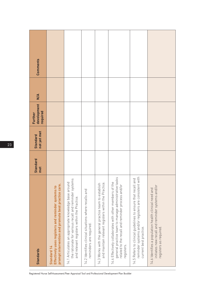| <b>Standards</b>                                                                                                                                                                   | <b>Standard</b><br>met | not yet met<br><b>Standard</b> | development<br>required<br>Further | $\frac{4}{5}$ | Comments |
|------------------------------------------------------------------------------------------------------------------------------------------------------------------------------------|------------------------|--------------------------------|------------------------------------|---------------|----------|
| prompt intervention and promote best practice care.<br>Effectively uses registers and reminder systems to<br><b>Standard 14</b>                                                    |                        |                                |                                    |               |          |
| the rationale for various recall and reminder systems<br>14.1 Articulates an appropriate knowledge base around<br>and relevant registers within the Practice.                      |                        |                                |                                    |               |          |
| 14.2 Identifies clinical situations where recalls and<br>reminders are required.                                                                                                   |                        |                                |                                    |               |          |
| 14.3 Works with the general practice team to establish<br>and maintain relevant registers within the Practice.                                                                     |                        |                                |                                    |               |          |
| general practice team to manage administrative tasks<br>14.4 Effectively collaborates with other members of the<br>related to the recall and reminder process and/or<br>registers. |                        |                                |                                    |               |          |
| with<br>14.5 Refers to clinical guidelines to ensure that recall and<br>reminder systems and/or registers are consistent<br>current best practice.                                 |                        |                                |                                    |               |          |
| initiates new recall and reminder systems and/or<br>14.6 Identifies a population health clinical need and<br>registers as required.                                                |                        |                                |                                    |               |          |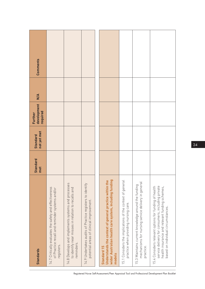| Standards                                                                                                                                                                                          | <b>Standard</b><br>met | not yet met<br><b>Standard</b> | development<br>required<br>Further | $\frac{4}{5}$ | Comments |
|----------------------------------------------------------------------------------------------------------------------------------------------------------------------------------------------------|------------------------|--------------------------------|------------------------------------|---------------|----------|
| 14.7 Critically evaluates the safety and effectiveness<br>of Practice recall and reminder systems and/or<br>registers.                                                                             |                        |                                |                                    |               |          |
| 14.8 Develops and implements systems and processes<br>to identify near misses in relation to recalls and<br>reminders.                                                                             |                        |                                |                                    |               |          |
| 14.9 Undertakes audits of Practice registers to identify<br>potential areas of clinical improvement.                                                                                               |                        |                                |                                    |               |          |
|                                                                                                                                                                                                    |                        |                                |                                    |               |          |
| wider Australian health care system, including funding<br>Understands the context of general practice within the<br>Standard 15<br>models                                                          |                        |                                |                                    |               |          |
| 15.1 Considers the implications of the context of general<br>practice when providing nursing care.                                                                                                 |                        |                                |                                    |               |          |
| mechanisms for nursing service delivery in general<br>15.3 Maintains current knowledge around the funding<br>practice.                                                                             |                        |                                |                                    |               |          |
| service delivery for consumers, including private<br>15.4 Considers relevant options for funding of health<br>health insurance and relevant funding schemes,<br>based on individual circumstances. |                        |                                |                                    |               |          |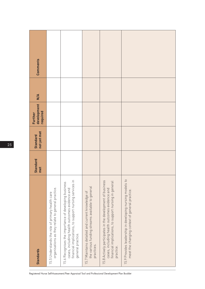| <b>Standards</b>                                                                                                                                                                      | <b>Standard</b><br>met | not yet met<br><b>Standard</b> | development<br>required<br>Further | $\frac{4}{5}$ | <b>Comments</b> |
|---------------------------------------------------------------------------------------------------------------------------------------------------------------------------------------|------------------------|--------------------------------|------------------------------------|---------------|-----------------|
| organisations as they relate to general practice.<br>15.5 Understands the role of primary health care                                                                                 |                        |                                |                                    |               |                 |
| financial implications, to support nursing services in<br>15.6 Recognises the importance of developing business<br>cases, including health outcomes evidence and<br>general practice. |                        |                                |                                    |               |                 |
| the various funding streams available to general<br>15.7 Maintains detailed and current knowledge of<br>practices.                                                                    |                        |                                |                                    |               |                 |
| 15.8 Actively participates in the development of business<br>financial implications, to support nursing in general<br>cases, including health outcomes evidence and<br>practice.      |                        |                                |                                    |               |                 |
| 15.9 Provides leadership in developing nursing models to<br>meet the changing context of general practice.                                                                            |                        |                                |                                    |               |                 |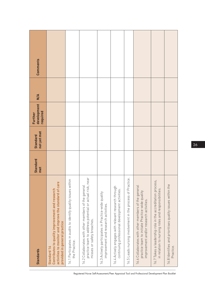| <b>Standards</b>                                                                                                                                         | <b>Standard</b><br>met | not yet met<br><b>Standard</b> | development<br>required<br>Further | $\frac{4}{5}$ | Comments |
|----------------------------------------------------------------------------------------------------------------------------------------------------------|------------------------|--------------------------------|------------------------------------|---------------|----------|
| activities to monitor and improve the standard of care<br>Contributes to quality improvement and research<br>provided in general practice<br>Standard 16 |                        |                                |                                    |               |          |
| 16.1 Participates in audits to identify quality issues within<br>the Practice.                                                                           |                        |                                |                                    |               |          |
| near<br>16.2 Collaborates with other members of the general<br>practice team to address potential or actual risk,<br>misses or safety breaches.          |                        |                                |                                    |               |          |
| 16.3 Actively participates in Practice-wide quality<br>improvement and research activities.                                                              |                        |                                |                                    |               |          |
| 16.4 Actively engages with relevant research through<br>continuing professional development activities.                                                  |                        |                                |                                    |               |          |
| 16.5 Leads nursing involvement in the process of Practice                                                                                                |                        |                                |                                    |               |          |
| 16.6 Collaborates with other members of the general<br>practice team to initiate Practice-wide quality<br>improvement and/or research activities.        |                        |                                |                                    |               |          |
| 16.7 Takes a leadership role in the accreditation process,<br>in relation to nursing roles and responsibilities.                                         |                        |                                |                                    |               |          |
| 16.8 Identifies and prioritises quality issues within the<br>Practice.                                                                                   |                        |                                |                                    |               |          |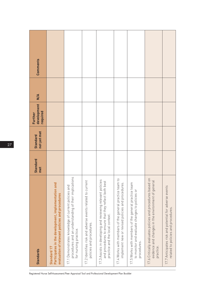| <b>Standards</b>                                                                                                                                      | <b>Standard</b><br>met | not yet met<br><b>Standard</b> | development<br>required<br>Further | $\frac{4}{5}$ | Comments |
|-------------------------------------------------------------------------------------------------------------------------------------------------------|------------------------|--------------------------------|------------------------------------|---------------|----------|
| Participates in the development, implementation and<br>evaluation of relevant policies and procedures<br>Standard 17                                  |                        |                                |                                    |               |          |
| procedures and an understanding of their implications<br>17.1 Demonstrates knowledge of current policies and<br>for nursing practice.                 |                        |                                |                                    |               |          |
| 17.2 Identifies risk and adverse events related to current<br>policies and procedures.                                                                |                        |                                |                                    |               |          |
| 17.3 Assists in developing and reviewing relevant policies<br>and procedures to ensure that they reflect both best<br>practice and the local context. |                        |                                |                                    |               |          |
| 17.4 Works with members of the general practice team to<br>implement new or revised policies and procedures.                                          |                        |                                |                                    |               |          |
| 17.5 Works with members of the general practice team<br>to monitor and evaluate changes to policies or<br>procedures.                                 |                        |                                |                                    |               |          |
| 17.6 Critically evaluates policies and procedures based on<br>evidence and changes in the environment of general<br>practice.                         |                        |                                |                                    |               |          |
| 17.7 Anticipates risk and potential for adverse events<br>related to policies and procedures.                                                         |                        |                                |                                    |               |          |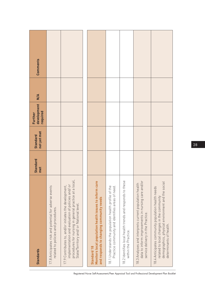| <b>Standards</b>                                                                                                                                                                                               | Standard<br>met | not yet met<br><b>Standard</b> | development<br>required<br>Further | M/A | Comments |
|----------------------------------------------------------------------------------------------------------------------------------------------------------------------------------------------------------------|-----------------|--------------------------------|------------------------------------|-----|----------|
| 17.8 Anticipates risk and potential for adverse events<br>related to policies and procedures.                                                                                                                  |                 |                                |                                    |     |          |
| procedures for nursing in general practice at a local<br>implementation and evaluation of policies and/ or<br>17.9 Contributes to, and/or initiates the development,<br>State/Territory and/or National level. |                 |                                |                                    |     |          |
|                                                                                                                                                                                                                |                 |                                |                                    |     |          |
| Monitors local population health issues to inform care<br>and responds to changing community needs<br>Standard <sub>18</sub>                                                                                   |                 |                                |                                    |     |          |
| 18.1 Understands the population health profile of the<br>Practice community and identifies areas of need.                                                                                                      |                 |                                |                                    |     |          |
| 18.2 Identifies local health trends and responds to these<br>within the Practice.                                                                                                                              |                 |                                |                                    |     |          |
| 18.3 Analyses and interprets current population health<br>data to inform improvements in nursing care and/or<br>service delivery in the Practice.                                                              |                 |                                |                                    |     |          |
| demographics, physical environment and the social<br>18.4 Anticipates community population health needs<br>related to local changes in the community<br>determinants of health.                                |                 |                                |                                    |     |          |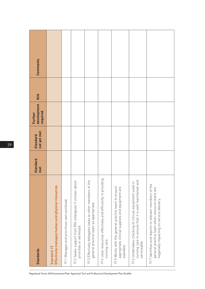| <b>Standards</b>                                                                                                                                                                                                     | <b>Standard</b><br>met | not yet met<br><b>Standard</b> | development<br>required<br>Further | M/A | Comments |
|----------------------------------------------------------------------------------------------------------------------------------------------------------------------------------------------------------------------|------------------------|--------------------------------|------------------------------------|-----|----------|
| Effectively manages human and physical resources<br>Standard 19                                                                                                                                                      |                        |                                |                                    |     |          |
| 19.1 Manages and prioritises own workload.                                                                                                                                                                           |                        |                                |                                    |     |          |
| 19.2 Seeks support from RN colleagues if unclear about<br>priorities or workload.                                                                                                                                    |                        |                                |                                    |     |          |
| 19.3 Effectively delegates tasks to other members of the<br>general practice team as appropriate.                                                                                                                    |                        |                                |                                    |     |          |
| 19.4 Uses resources effectively and efficiently in providing<br>nursing care.                                                                                                                                        |                        |                                |                                    |     |          |
| 19.5 Works with the general practice team to ensure<br>appropriate clinical supplies and equipment are<br>available.                                                                                                 |                        |                                |                                    |     |          |
| י און פון פון איז איז האטן (are to ensure that it is well maintained and<br>אין פון פון פון פון פון אין אין אין אין האט אין האט אין האט אין א<br>19.6 Undertakes checking of clinical equipment used<br>serviceable. |                        |                                |                                    |     |          |
| 19.7 Identifies and reports to relevant members of the<br>general practice team when resource levels are<br>negatively impacting on service delivery.                                                                |                        |                                |                                    |     |          |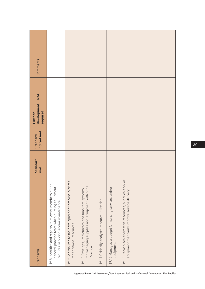| Comments                           |                                                                                                                                                  |                                                                                      |                                                                                                                |                                                 |                                                                  |                                                                                                               |
|------------------------------------|--------------------------------------------------------------------------------------------------------------------------------------------------|--------------------------------------------------------------------------------------|----------------------------------------------------------------------------------------------------------------|-------------------------------------------------|------------------------------------------------------------------|---------------------------------------------------------------------------------------------------------------|
| $\frac{4}{5}$                      |                                                                                                                                                  |                                                                                      |                                                                                                                |                                                 |                                                                  |                                                                                                               |
| development<br>required<br>Further |                                                                                                                                                  |                                                                                      |                                                                                                                |                                                 |                                                                  |                                                                                                               |
| not yet met<br><b>Standard</b>     |                                                                                                                                                  |                                                                                      |                                                                                                                |                                                 |                                                                  |                                                                                                               |
| <b>Standard</b><br>met             |                                                                                                                                                  |                                                                                      |                                                                                                                |                                                 |                                                                  |                                                                                                               |
| <b>Standards</b>                   | 19.8 Identifies and reports to relevant members of the<br>general practice team when nursing equipment<br>requires servicing and/or maintenance. | 19.9 Contributes to the development of proposals/briefs<br>for additional resources. | for managing supplies and equipment within the<br>19.10 Develops, implements and monitors systems<br>Practice. | 19.11 Critically analyses resource utilisation. | 19.12 Manages a budget for nursing services and/or<br>equipment. | br<br>19.13 Recognises alternative resources, supplies and/<br>equipment that could improve service delivery. |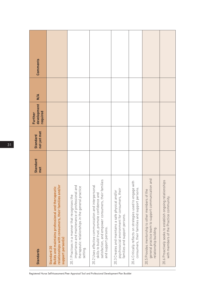| <b>Standards</b>                                                                                                                                                                    | <b>Standard</b><br>met | not yet met<br><b>Standard</b> | development<br>required<br>Further | $\frac{4}{5}$ | Comments |
|-------------------------------------------------------------------------------------------------------------------------------------------------------------------------------------|------------------------|--------------------------------|------------------------------------|---------------|----------|
| relationships with consumers, their families and/or<br><b>Builds and maintains professional and therapeutic</b><br>support person(s)<br>Standard 20                                 |                        |                                |                                    |               |          |
| importance and maintenance of professional and<br>therapeutic relationships in the general practice<br>20.1 Practises in a manner that recognises the<br>setting.                   |                        |                                |                                    |               |          |
| satisfaction, and empower consumers, their families<br>20.2 Uses effective communication and interpersonal<br>skills to build trust, promote confidence and<br>and support persons. |                        |                                |                                    |               |          |
| psychosocial environment for consumers, their<br>20.3 Creates and maintains a safe physical and/or<br>families and support persons.                                                 |                        |                                |                                    |               |          |
| 20.4 Critically reflects on strategies used to engage with<br>consumers, their families and support persons.                                                                        |                        |                                |                                    |               |          |
| and<br>general practice team to support communication<br>20.5 Provides mentorship to other members of the<br>relationship building.                                                 |                        |                                |                                    |               |          |
| ps<br>20.6 Proactively seeks to establish ongoing relationshi<br>with members of the Practice community.                                                                            |                        |                                |                                    |               |          |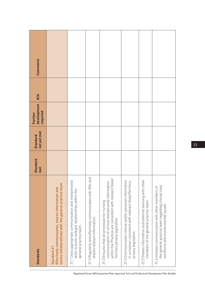| <b>Standards</b>                                                                                                                                                                                   | <b>Standard</b><br>met | not yet met<br><b>Standard</b> | development<br>required<br>Further | $\frac{4}{5}$ | <b>Comments</b> |
|----------------------------------------------------------------------------------------------------------------------------------------------------------------------------------------------------|------------------------|--------------------------------|------------------------------------|---------------|-----------------|
| works collaboratively with the general practice team<br>Effectively communicates, shares information and<br>Standard 21                                                                            |                        |                                |                                    |               |                 |
| 21.1 Uses appropriate communication and interpersonal<br>skills to build collegial relationships within the<br>general practice team.                                                              |                        |                                |                                    |               |                 |
| and<br>21.2 Regularly and effectively communicates with ENs<br>shares relevant information.                                                                                                        |                        |                                |                                    |               |                 |
| ate/<br>communication of clinical and personal information<br>within the Practice are consistent with relevant St<br>21.3 Ensures that all processes for nursing<br>Territory privacy legislation. |                        |                                |                                    |               |                 |
| 21.4 Communicates clinical and/or personal information<br>in a manner consistent with relevant State/Territory<br>privacy legislation.                                                             |                        |                                |                                    |               |                 |
| 21.5 Shares information and external learning with other<br>members of the general practice team.                                                                                                  |                        |                                |                                    |               |                 |
| the general practice team regarding clinical care,<br>21.6 Initiates communication with other members of<br>workforce and environmental issues.                                                    |                        |                                |                                    |               |                 |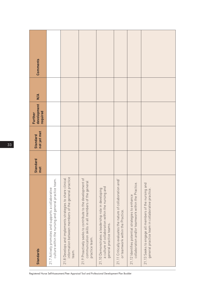| <b>Standards</b>                                                                                                                   | Standard<br>met | not yet met<br><b>Standard</b> | development<br>required<br><b>Further</b> | $\frac{4}{5}$ | Comments |
|------------------------------------------------------------------------------------------------------------------------------------|-----------------|--------------------------------|-------------------------------------------|---------------|----------|
| culture within the nursing and general practice team.<br>21.7 Actively promotes and supports a collaborative                       |                 |                                |                                           |               |          |
| information between members of the general practice<br>21.8 Develops and implements strategies to share clinical<br>team.          |                 |                                |                                           |               |          |
| 21.9 Proactively seeks to contribute to the development of<br>communication skills in all members of the general<br>practice team. |                 |                                |                                           |               |          |
| a culture of collaboration within the nursing and<br>21.10 Demonstrates a leadership role in developing<br>general practice teams. |                 |                                |                                           |               |          |
| $\overrightarrow{nd}$<br>21.11 Critically evaluates the nature of collaboration a<br>or teamwork within the Practice.              |                 |                                |                                           |               |          |
| collaboration and/or teamwork within the Practice.<br>21.12 Identifies potential strategies to enhance                             |                 |                                |                                           |               |          |
| 21.13 Seeks to engage all members of the nursing and<br>general practice team in collaborative practice.                           |                 |                                |                                           |               |          |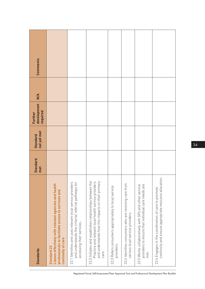| <b>Standards</b>                                                                                                                                                               | <b>Standard</b><br>met | not yet met<br><b>Standard</b> | development<br>required<br><b>Further</b> | $\frac{4}{5}$ | Comments |
|--------------------------------------------------------------------------------------------------------------------------------------------------------------------------------|------------------------|--------------------------------|-------------------------------------------|---------------|----------|
| Liaises effectively with relevant agencies and health<br>professionals to facilitate access to services and<br>continuity of care<br>Standard 22                               |                        |                                |                                           |               |          |
| 22.1 Identifies and uses relevant local service providers<br>and understands the criteria/ referral pathways for<br>accessing their services.                                  |                        |                                |                                           |               |          |
| 22.2 Initiates and establishes relationships between the<br>Practice and relevant local health service providers<br>and understands how this impacts on their primary<br>care. |                        |                                |                                           |               |          |
| 22.3 Refers consumers appropriately to local service<br>providers.                                                                                                             |                        |                                |                                           |               |          |
| 22.4 Identifies consumers who are receiving care from<br>various local service providers.                                                                                      |                        |                                |                                           |               |          |
| 22.5 Works collaboratively with GPs and other service<br>providers to ensure that individual care needs are<br>met.                                                            |                        |                                |                                           |               |          |
| continuity and ensure appropriate resource allocation.<br>22.6 Engages in the coordination of care to promote                                                                  |                        |                                |                                           |               |          |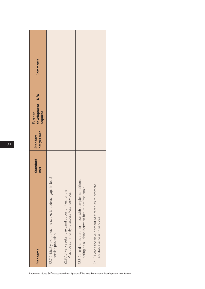| <b>Standards</b>                                                                                               | Standard<br>met | not yet met<br><b>Standard</b> | development<br>required<br>Further | $\overline{M}$ | Comments |
|----------------------------------------------------------------------------------------------------------------|-----------------|--------------------------------|------------------------------------|----------------|----------|
| 22.7 Critically evaluates and seeks to address gaps in local<br>service provision.                             |                 |                                |                                    |                |          |
| 22.8 Actively seeks to expand opportunities for the<br>Practice community to access local services.            |                 |                                |                                    |                |          |
| 22.9 Co-ordinates care for those with complex conditions,<br>acting as a liaison between health professionals. |                 |                                |                                    |                |          |
| 22.10 Leads the development of strategies to promote<br>equitable access to services.                          |                 |                                |                                    |                |          |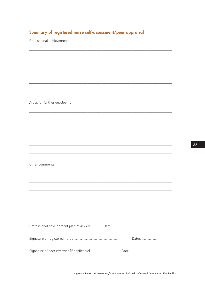### Summary of registered nurse self-assessment/peer appraisal

Professional achievements

Areas for further development

Other comments

| Professional development plan reviewed: | Date: |                   |
|-----------------------------------------|-------|-------------------|
|                                         |       | $\Box$ ate $\Box$ |
|                                         |       |                   |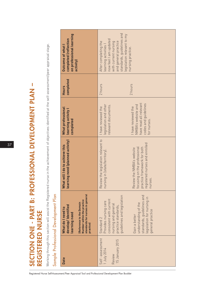SECTION ONE - PART B: PROFESSIONAL DEVELOPMENT PLAN – SECTION ONE - PART B: PROFESSIONAL DEVELOPMENT PLAN -REGISTERED NURSE REGISTERED NURSE

Working through this section will assist the Registered nurse in the achievement of objectives identified at the self-assessment/peer appraisal stage. Working through this section will assist the Registered nurse in the achievement of objectives identified at the self-assessment/peer appraisal stage.

# $\overline{c}$ Í,  $\frac{1}{2}$ l, l,  $\overline{\phantom{a}}$ j.  $\overline{\phantom{a}}$

|                                      | on professional learning<br>completed (reflection<br><b>Outcome of what I</b><br>activity)                                                                         | and general practice<br>standards, guidelines and<br>legislation relevant to my<br>now feel I am updated<br>with current nursing<br>After completing the<br>earning activities<br>nursing practice.                                                                |
|--------------------------------------|--------------------------------------------------------------------------------------------------------------------------------------------------------------------|--------------------------------------------------------------------------------------------------------------------------------------------------------------------------------------------------------------------------------------------------------------------|
|                                      | completed<br><b>Hours</b>                                                                                                                                          | 2 hours<br>2 hours                                                                                                                                                                                                                                                 |
|                                      | What professional<br>learning activity<br>completed                                                                                                                | have read all relevant<br>codes and guidelines<br>egislation and other<br>relevant documents.<br>NMBA's website and<br>I have reviewed the<br>I have reviewed the<br>for nurses.                                                                                   |
|                                      | learning need (planned activity)<br>What will I do to achieve this                                                                                                 | Review the legislation relevant to<br>registered nurses and enrolled<br>focusing on the professional<br>practice framework for both<br>Review the NMBA's website<br>nursing in [state/territory].<br>nurses.                                                       |
| Sample Professional Development Plan | standards for nurses in general<br>Number within the practice<br>(Reference to the Domain<br>develop/Identified<br>What do I need to<br>learning need<br>practice) | standards, guidelines and<br>guidelines and legislation<br>legislation for nursing in<br>consistent with current<br>Provides nursing care<br>understanding of the<br>nursing and general<br>practice standards,<br>general practice<br>Gain a better<br>Standard 2 |
|                                      | <b>Date</b>                                                                                                                                                        | Self-assessment<br>15 January 2015<br>1 July 2014<br>Review                                                                                                                                                                                                        |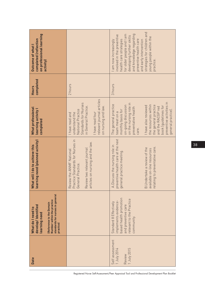| on professional learning<br>completed (reflection<br>Outcome of what<br>activity)                                                                                 |                                                                                                                                                                            | strategies for children and<br>for older people and I am<br>and knowledge regarding<br>involved in the preventive<br>developing further skills<br>young people within the<br>health care strategies<br>preventive health care<br>and early intervention<br>I am now increasingly<br>practice.                       |
|-------------------------------------------------------------------------------------------------------------------------------------------------------------------|----------------------------------------------------------------------------------------------------------------------------------------------------------------------------|---------------------------------------------------------------------------------------------------------------------------------------------------------------------------------------------------------------------------------------------------------------------------------------------------------------------|
| completed<br><b>Hours</b>                                                                                                                                         | 2 hours                                                                                                                                                                    | 3 hours                                                                                                                                                                                                                                                                                                             |
| What professional<br>learning activity<br>completed                                                                                                               | relevant journal articles<br>Standards for Nurses<br>in General Practice.<br>on nursing and law.<br>National Practice<br>have read four<br>understand the<br>have read and | preventive activities in<br>on the nursing role in<br>The general practice<br>the resources within<br>the general practice<br>on-going discussion<br>I have also reviewed<br>book (guidelines for<br>and the RACGP red<br>preventative health<br>monthly basis for<br>general practice).<br>team meet on a<br>care. |
| learning need (planned activity)<br>What will I do to achieve this                                                                                                | Practice Standards for Nurses in<br>icles on nursing and the law.<br>Review two relevant journal<br>Review the ANMF National<br>General Practice.<br>arti                  | preventive health care at the next<br>A.Discuss the nursing role in<br>relating to preventative care.<br>B. Undertake a review of the<br>available on-line resources<br>general practice meeting.                                                                                                                   |
| standards for nurses in general<br>Number within the practice<br>Reference to the Domain<br>develop/Identified<br>What do I need to<br>learning need<br>practice) |                                                                                                                                                                            | based health promotion<br>relevant to the Practice<br>Standard 8 Effectively<br>implements evidence<br>and preventive care<br>community                                                                                                                                                                             |
| <b>Date</b>                                                                                                                                                       |                                                                                                                                                                            | Self assessment<br>1 July 2015<br>1 July 2014<br>Review                                                                                                                                                                                                                                                             |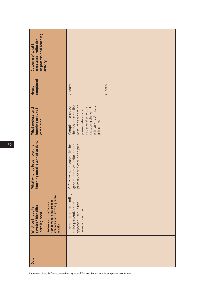| on professional learning<br>completed (reflection<br>Outcome of what I<br>activity)                                                                                |                                                                                                                                                                              |
|--------------------------------------------------------------------------------------------------------------------------------------------------------------------|------------------------------------------------------------------------------------------------------------------------------------------------------------------------------|
| completed<br><b>Hours</b>                                                                                                                                          | 2 hours<br>4 hours                                                                                                                                                           |
| What professional<br>learning activity I<br>completed                                                                                                              | Completed a review of<br>the available on-line<br>resources regarding<br>primary health care<br>in general practice<br>including the WHO<br>preventative care<br>principles. |
| learning need (planned activity)<br>What will I do to achieve this                                                                                                 | primary health care principles;<br>general practice including the<br>C. Review the resources in the                                                                          |
| standards for nurses in general<br>Number within the practice<br>(Reference to the Domain<br>develop/Identified<br>What do I need to<br>learning need<br>practice) | Improve my understanding<br>approach used in this<br>of the preventive care<br>general practice                                                                              |
| Date                                                                                                                                                               |                                                                                                                                                                              |

39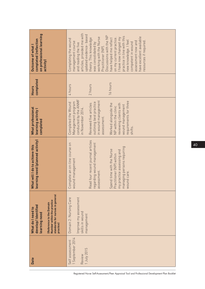| on professional learning<br>completed (reflection<br>Outcome of what<br>activity)                                                                                        | articles, provided me with<br>updated evidence- based<br>Discussions with the NP<br>practice in line with this<br>have excellent available<br>working with the Nurse<br>on my current practice.<br>I have now changed my<br>theory. This knowledge<br>have helped me reflect<br>Completing the wound<br>new knowledge. I feel<br>resources if required.<br>assessment now and<br>management course<br>competent in wound<br>was consolidated by<br>and reading the five<br>Practitioner (NP). |
|--------------------------------------------------------------------------------------------------------------------------------------------------------------------------|-----------------------------------------------------------------------------------------------------------------------------------------------------------------------------------------------------------------------------------------------------------------------------------------------------------------------------------------------------------------------------------------------------------------------------------------------------------------------------------------------|
| completed<br><b>Hours</b>                                                                                                                                                | 16 hours<br>2 hours<br>4 hours                                                                                                                                                                                                                                                                                                                                                                                                                                                                |
| What professional<br>learning activity I<br>completed                                                                                                                    | conducted by the ANMF<br>in wound management<br>requirements for three<br>outlining best practice<br>Management program<br>Completed the Wound<br>Reviewed five articles<br>Worked alongside the<br>reviewing clients with<br>wound management<br>NP within the clinic<br>n November 2014.<br>assessment.<br>shifts.                                                                                                                                                                          |
| learning need (planned activity)<br>What will I do to achieve this                                                                                                       | Read four recent journal articles<br>regarding wound management<br>Complete an on-line course on<br>managing persons requiring<br>Spend time with the Nurse<br>practice assessing and<br>Practitioner (NP) within<br>wound management<br>essment.<br>wound care.<br>ass<br>my                                                                                                                                                                                                                 |
| standards for nurses in general<br>Number within the practice<br><b>Reference to the Domain</b><br>develop/Identified<br>What do I need to<br>learning need<br>practice) | Improve my assessment<br>Domain 2: Nursing Care<br>skills in wound<br>management                                                                                                                                                                                                                                                                                                                                                                                                              |
| <b>Date</b>                                                                                                                                                              | 1 September 2014<br>Self assessment<br>1 July 2015<br>Review                                                                                                                                                                                                                                                                                                                                                                                                                                  |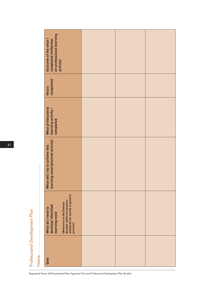|       | completed (reflection<br>  on professional learning<br>  activity)<br>Outcome of the what I                                                                        |  |  |
|-------|--------------------------------------------------------------------------------------------------------------------------------------------------------------------|--|--|
|       | completed<br>Hours                                                                                                                                                 |  |  |
|       | What professional<br>learning activity l<br>completed                                                                                                              |  |  |
|       | learning need (planned activity)<br>What will I do to achieve this                                                                                                 |  |  |
|       | standards for nurses in general<br>Number within the practice<br>(Reference to the Domain<br>develop/Identified<br>What do I need to<br>learning need<br>practice) |  |  |
| Name: | <b>Date</b>                                                                                                                                                        |  |  |
|       |                                                                                                                                                                    |  |  |

Professional Development Plan

Professional Development Plan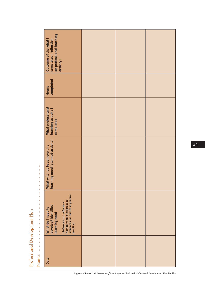|                                                             | completed (reflection<br>  on professional learning<br>  activity)<br>Outcome of the what I                                                                        |  |  |
|-------------------------------------------------------------|--------------------------------------------------------------------------------------------------------------------------------------------------------------------|--|--|
|                                                             | completed<br>Hours                                                                                                                                                 |  |  |
|                                                             | What professional<br>learning activity l<br>completed                                                                                                              |  |  |
|                                                             | learning need (planned activity)<br>What will I do to achieve this                                                                                                 |  |  |
| <br> <br> <br> <br> <br> <br> <br> <br> <br> <br> <br> <br> | standards for nurses in general<br>Number within the practice<br>(Reference to the Domain<br>develop/Identified<br>What do I need to<br>learning need<br>practice) |  |  |
|                                                             | <b>Date</b>                                                                                                                                                        |  |  |

Professional Development Plan

Professional Development Plan

4 2